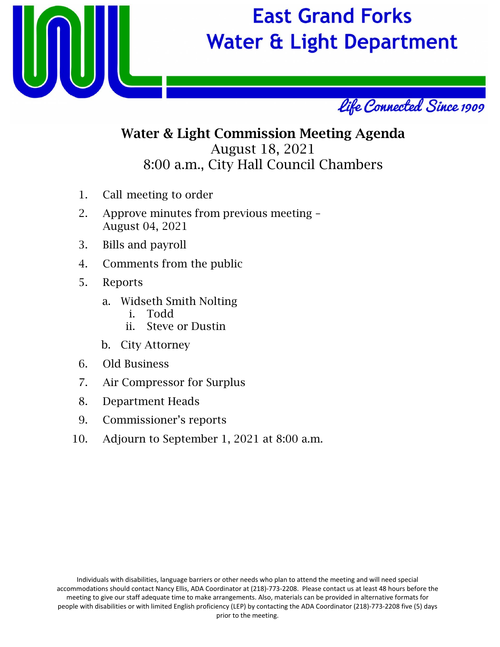

# **East Grand Forks Water & Light Department**



# Water & Light Commission Meeting Agenda August 18, 2021 8:00 a.m., City Hall Council Chambers

- 1. Call meeting to order
- 2. Approve minutes from previous meeting August 04, 2021
- 3. Bills and payroll
- 4. Comments from the public
- 5. Reports
	- a. Widseth Smith Nolting
		- i. Todd
		- ii. Steve or Dustin
	- b. City Attorney
- 6. Old Business
- 7. Air Compressor for Surplus
- 8. Department Heads
- 9. Commissioner's reports
- 10. Adjourn to September 1, 2021 at 8:00 a.m.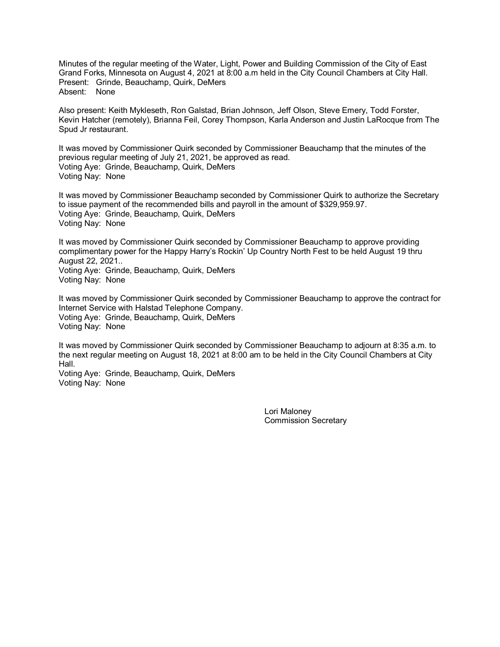Minutes of the regular meeting of the Water, Light, Power and Building Commission of the City of East Grand Forks, Minnesota on August 4, 2021 at 8:00 a.m held in the City Council Chambers at City Hall. Present: Grinde, Beauchamp, Quirk, DeMers Absent: None

Also present: Keith Mykleseth, Ron Galstad, Brian Johnson, Jeff Olson, Steve Emery, Todd Forster, Kevin Hatcher (remotely), Brianna Feil, Corey Thompson, Karla Anderson and Justin LaRocque from The Spud Jr restaurant.

It was moved by Commissioner Quirk seconded by Commissioner Beauchamp that the minutes of the previous regular meeting of July 21, 2021, be approved as read. Voting Aye: Grinde, Beauchamp, Quirk, DeMers Voting Nay: None

It was moved by Commissioner Beauchamp seconded by Commissioner Quirk to authorize the Secretary to issue payment of the recommended bills and payroll in the amount of \$329,959.97. Voting Aye: Grinde, Beauchamp, Quirk, DeMers Voting Nay: None

It was moved by Commissioner Quirk seconded by Commissioner Beauchamp to approve providing complimentary power for the Happy Harry's Rockin' Up Country North Fest to be held August 19 thru August 22, 2021.. Voting Aye: Grinde, Beauchamp, Quirk, DeMers

Voting Nay: None

It was moved by Commissioner Quirk seconded by Commissioner Beauchamp to approve the contract for Internet Service with Halstad Telephone Company. Voting Aye: Grinde, Beauchamp, Quirk, DeMers Voting Nay: None

It was moved by Commissioner Quirk seconded by Commissioner Beauchamp to adjourn at 8:35 a.m. to the next regular meeting on August 18, 2021 at 8:00 am to be held in the City Council Chambers at City Hall.

Voting Aye: Grinde, Beauchamp, Quirk, DeMers Voting Nay: None

> Lori Maloney Commission Secretary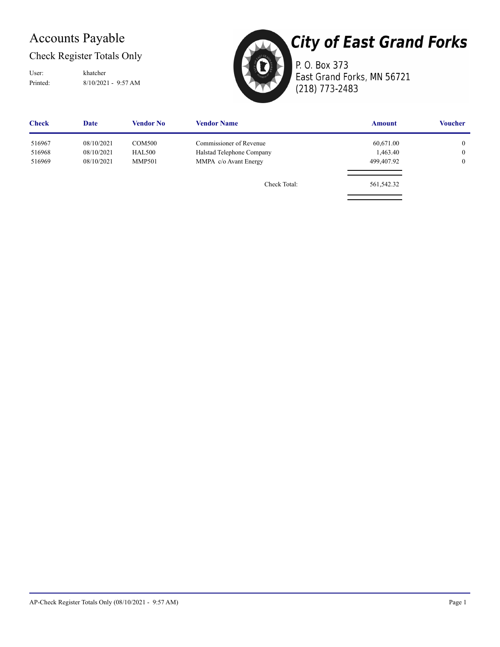## Accounts Payable

#### Check Register Totals Only

Printed: 8/10/2021 - 9:57 AM User: khatcher

**City of East Grand Forks** 

P. O. Box 373 East Grand Forks, MN 56721 (218) 773-2483

| <b>Check</b> | Date       | <b>Vendor No</b> | <b>Vendor Name</b>        | <b>Amount</b> | <b>Voucher</b> |
|--------------|------------|------------------|---------------------------|---------------|----------------|
| 516967       | 08/10/2021 | <b>COM500</b>    | Commissioner of Revenue   | 60,671.00     | $\overline{0}$ |
| 516968       | 08/10/2021 | <b>HAL500</b>    | Halstad Telephone Company | 1,463.40      | $\overline{0}$ |
| 516969       | 08/10/2021 | <b>MMP501</b>    | MMPA c/o Avant Energy     | 499,407.92    | $\overline{0}$ |
|              |            |                  | Check Total:              | 561,542.32    |                |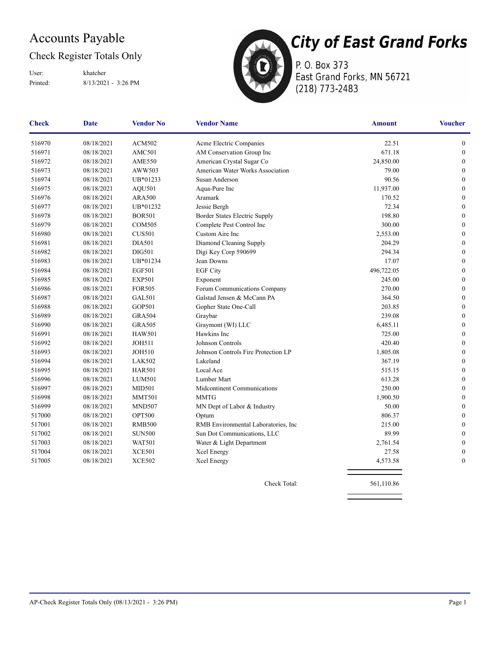## Accounts Payable

#### Check Register Totals Only

Printed: 8/13/2021 - 3:26 PM User: khatcher



P. O. Box 373 East Grand Forks, MN 56721 (218) 773-2483

| <b>Check</b> | <b>Date</b> | <b>Vendor No</b> | <b>Vendor Name</b>                   | <b>Amount</b> | <b>Voucher</b>   |
|--------------|-------------|------------------|--------------------------------------|---------------|------------------|
| 516970       | 08/18/2021  | <b>ACM502</b>    | Acme Electric Companies              | 22.51         | $\boldsymbol{0}$ |
| 516971       | 08/18/2021  | AMC501           | AM Conservation Group Inc            | 671.18        | $\boldsymbol{0}$ |
| 516972       | 08/18/2021  | <b>AME550</b>    | American Crystal Sugar Co            | 24,850.00     | $\boldsymbol{0}$ |
| 516973       | 08/18/2021  | AWW503           | American Water Works Association     | 79.00         | $\boldsymbol{0}$ |
| 516974       | 08/18/2021  | UB*01233         | Susan Anderson                       | 90.56         | $\boldsymbol{0}$ |
| 516975       | 08/18/2021  | AQU501           | Aqua-Pure Inc                        | 11,937.00     | $\boldsymbol{0}$ |
| 516976       | 08/18/2021  | <b>ARA500</b>    | Aramark                              | 170.52        | $\boldsymbol{0}$ |
| 516977       | 08/18/2021  | UB*01232         | Jessie Bergh                         | 72.34         | $\boldsymbol{0}$ |
| 516978       | 08/18/2021  | <b>BOR501</b>    | Border States Electric Supply        | 198.80        | $\boldsymbol{0}$ |
| 516979       | 08/18/2021  | <b>COM505</b>    | Complete Pest Control Inc            | 300.00        | $\boldsymbol{0}$ |
| 516980       | 08/18/2021  | <b>CUS501</b>    | Custom Aire Inc                      | 2,553.00      | $\boldsymbol{0}$ |
| 516981       | 08/18/2021  | <b>DIA501</b>    | Diamond Cleaning Supply              | 204.29        | $\boldsymbol{0}$ |
| 516982       | 08/18/2021  | <b>DIG501</b>    | Digi Key Corp 590699                 | 294.34        | $\boldsymbol{0}$ |
| 516983       | 08/18/2021  | UB*01234         | Jean Downs                           | 17.07         | $\boldsymbol{0}$ |
| 516984       | 08/18/2021  | <b>EGF501</b>    | <b>EGF City</b>                      | 496,722.05    | $\boldsymbol{0}$ |
| 516985       | 08/18/2021  | <b>EXP501</b>    | Exponent                             | 245.00        | $\boldsymbol{0}$ |
| 516986       | 08/18/2021  | <b>FOR505</b>    | Forum Communications Company         | 270.00        | $\boldsymbol{0}$ |
| 516987       | 08/18/2021  | <b>GAL501</b>    | Galstad Jensen & McCann PA           | 364.50        | $\boldsymbol{0}$ |
| 516988       | 08/18/2021  | GOP501           | Gopher State One-Call                | 203.85        | $\boldsymbol{0}$ |
| 516989       | 08/18/2021  | <b>GRA504</b>    | Graybar                              | 239.08        | $\boldsymbol{0}$ |
| 516990       | 08/18/2021  | <b>GRA505</b>    | Graymont (WI) LLC                    | 6,485.11      | $\boldsymbol{0}$ |
| 516991       | 08/18/2021  | <b>HAW501</b>    | Hawkins Inc                          | 725.00        | $\boldsymbol{0}$ |
| 516992       | 08/18/2021  | <b>JOH511</b>    | Johnson Controls                     | 420.40        | $\boldsymbol{0}$ |
| 516993       | 08/18/2021  | <b>JOH510</b>    | Johnson Controls Fire Protection LP  | 1,805.08      | $\boldsymbol{0}$ |
| 516994       | 08/18/2021  | <b>LAK502</b>    | Lakeland                             | 367.19        | $\boldsymbol{0}$ |
| 516995       | 08/18/2021  | <b>HAR501</b>    | Local Ace                            | 515.15        | $\boldsymbol{0}$ |
| 516996       | 08/18/2021  | <b>LUM501</b>    | Lumber Mart                          | 613.28        | $\boldsymbol{0}$ |
| 516997       | 08/18/2021  | MID501           | Midcontinent Communications          | 250.00        | $\boldsymbol{0}$ |
| 516998       | 08/18/2021  | <b>MMT501</b>    | <b>MMTG</b>                          | 1,900.50      | $\boldsymbol{0}$ |
| 516999       | 08/18/2021  | <b>MND507</b>    | MN Dept of Labor & Industry          | 50.00         | $\boldsymbol{0}$ |
| 517000       | 08/18/2021  | <b>OPT500</b>    | Optum                                | 806.37        | $\mathbf{0}$     |
| 517001       | 08/18/2021  | <b>RMB500</b>    | RMB Environmental Laboratories, Inc. | 215.00        | $\mathbf{0}$     |
| 517002       | 08/18/2021  | <b>SUN500</b>    | Sun Dot Communications, LLC          | 89.99         | $\mathbf{0}$     |
| 517003       | 08/18/2021  | <b>WAT501</b>    | Water & Light Department             | 2,761.54      | $\mathbf{0}$     |
| 517004       | 08/18/2021  | <b>XCE501</b>    | Xcel Energy                          | 27.58         | $\boldsymbol{0}$ |
| 517005       | 08/18/2021  | <b>XCE502</b>    | Xcel Energy                          | 4,573.58      | $\boldsymbol{0}$ |
|              |             |                  |                                      |               |                  |

Check Total: 561,110.86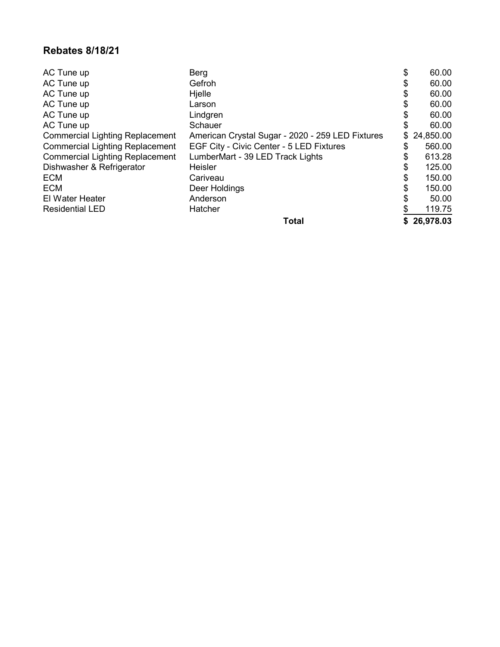#### **Rebates 8/18/21**

| AC Tune up                             | Berg                                             | \$<br>60.00  |
|----------------------------------------|--------------------------------------------------|--------------|
| AC Tune up                             | Gefroh                                           | \$<br>60.00  |
| AC Tune up                             | Hjelle                                           | \$<br>60.00  |
| AC Tune up                             | Larson                                           | \$<br>60.00  |
| AC Tune up                             | Lindgren                                         | \$<br>60.00  |
| AC Tune up                             | <b>Schauer</b>                                   | \$<br>60.00  |
| <b>Commercial Lighting Replacement</b> | American Crystal Sugar - 2020 - 259 LED Fixtures | \$24,850.00  |
| <b>Commercial Lighting Replacement</b> | EGF City - Civic Center - 5 LED Fixtures         | \$<br>560.00 |
| <b>Commercial Lighting Replacement</b> | LumberMart - 39 LED Track Lights                 | \$<br>613.28 |
| Dishwasher & Refrigerator              | <b>Heisler</b>                                   | \$<br>125.00 |
| <b>ECM</b>                             | Cariveau                                         | \$<br>150.00 |
| <b>ECM</b>                             | Deer Holdings                                    | \$<br>150.00 |
| <b>El Water Heater</b>                 | Anderson                                         | 50.00        |
| <b>Residential LED</b>                 | Hatcher                                          | \$<br>119.75 |
|                                        | <b>Total</b>                                     | \$26,978.03  |